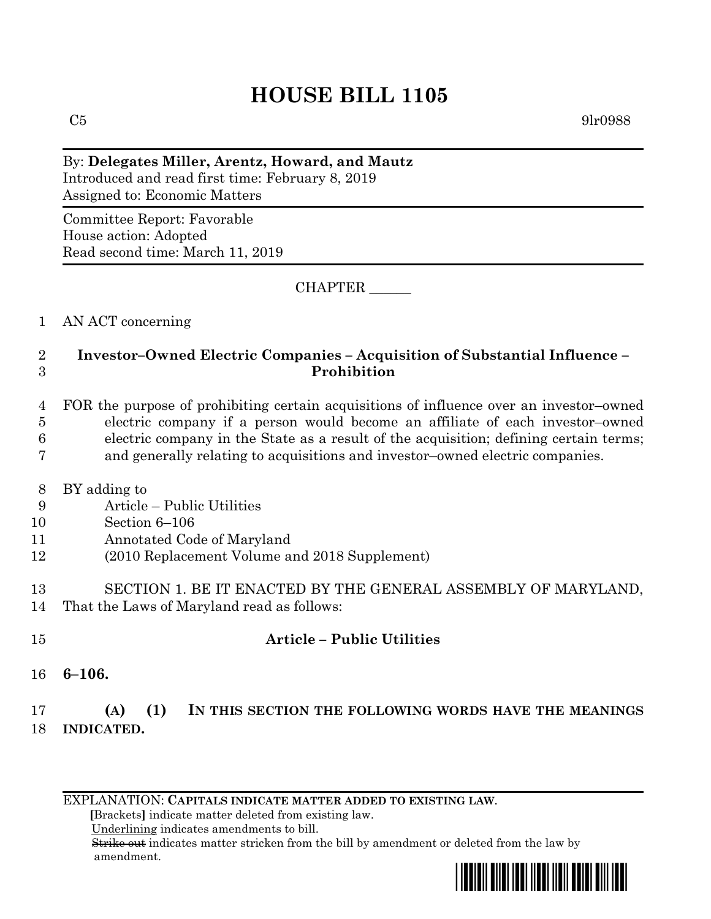# **HOUSE BILL 1105**

 $C5$  9lr0988

By: **Delegates Miller, Arentz, Howard, and Mautz** Introduced and read first time: February 8, 2019 Assigned to: Economic Matters

Committee Report: Favorable House action: Adopted Read second time: March 11, 2019

CHAPTER \_\_\_\_\_\_

### 1 AN ACT concerning

### 2 **Investor–Owned Electric Companies – Acquisition of Substantial Influence –** 3 **Prohibition**

 FOR the purpose of prohibiting certain acquisitions of influence over an investor–owned electric company if a person would become an affiliate of each investor–owned electric company in the State as a result of the acquisition; defining certain terms; and generally relating to acquisitions and investor–owned electric companies.

- 8 BY adding to
- 9 Article Public Utilities
- 10 Section 6–106
- 11 Annotated Code of Maryland
- 12 (2010 Replacement Volume and 2018 Supplement)
- 13 SECTION 1. BE IT ENACTED BY THE GENERAL ASSEMBLY OF MARYLAND, 14 That the Laws of Maryland read as follows:
- 15 **Article – Public Utilities**

16 **6–106.**

## 17 **(A) (1) IN THIS SECTION THE FOLLOWING WORDS HAVE THE MEANINGS** 18 **INDICATED.**

EXPLANATION: **CAPITALS INDICATE MATTER ADDED TO EXISTING LAW**.

 **[**Brackets**]** indicate matter deleted from existing law.

Underlining indicates amendments to bill.

 Strike out indicates matter stricken from the bill by amendment or deleted from the law by amendment.